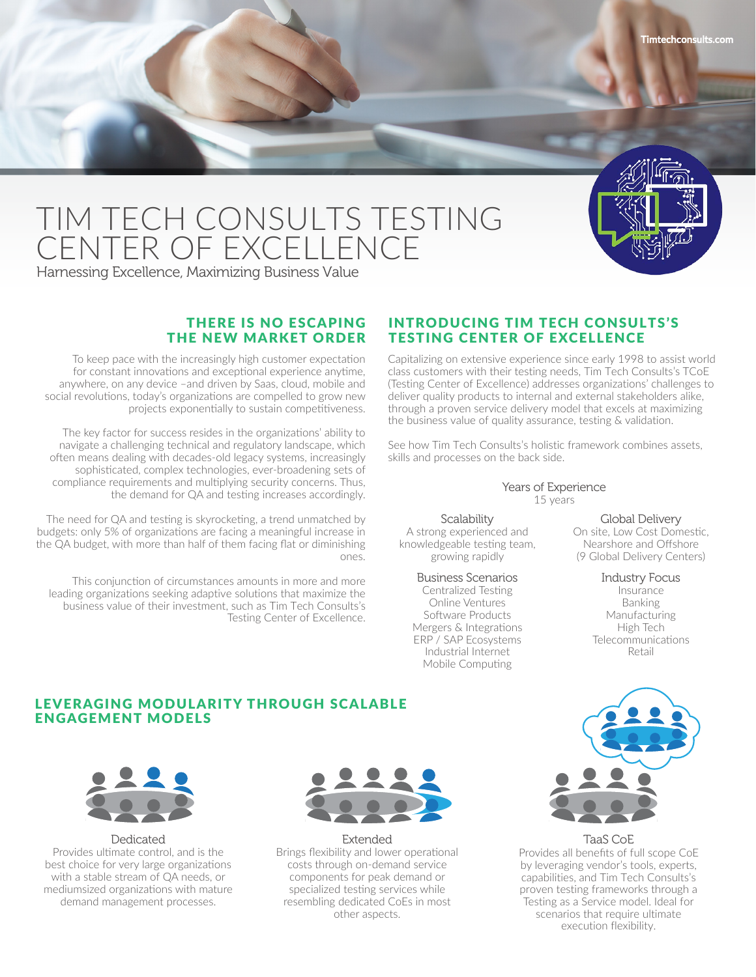

# TIM TECH CONSULTS TESTING CENTER OF EXCELLENCE

Harnessing Excellence, Maximizing Business Value

# THERE IS NO ESCAPING THE NEW MARKET ORDER

To keep pace with the increasingly high customer expectation for constant innovations and exceptional experience anytime, anywhere, on any device –and driven by Saas, cloud, mobile and social revolutions, today's organizations are compelled to grow new projects exponentially to sustain competitiveness.

The key factor for success resides in the organizations' ability to navigate a challenging technical and regulatory landscape, which often means dealing with decades-old legacy systems, increasingly sophisticated, complex technologies, ever-broadening sets of compliance requirements and multiplying security concerns. Thus, the demand for QA and testing increases accordingly.

The need for QA and testing is skyrocketing, a trend unmatched by budgets: only 5% of organizations are facing a meaningful increase in the QA budget, with more than half of them facing flat or diminishing ones.

This conjunction of circumstances amounts in more and more leading organizations seeking adaptive solutions that maximize the business value of their investment, such as Tim Tech Consults's Testing Center of Excellence.

## INTRODUCING TIM TECH CONSULTS'S TESTING CENTER OF EXCELLENCE

Capitalizing on extensive experience since early 1998 to assist world class customers with their testing needs, Tim Tech Consults's TCoE (Testing Center of Excellence) addresses organizations' challenges to deliver quality products to internal and external stakeholders alike, through a proven service delivery model that excels at maximizing the business value of quality assurance, testing & validation.

See how Tim Tech Consults's holistic framework combines assets, skills and processes on the back side.

#### Years of Experience 15 years

**Scalability** A strong experienced and knowledgeable testing team,

# Business Scenarios growing rapidly

Centralized Testing Online Ventures Software Products Mergers & Integrations ERP / SAP Ecosystems Industrial Internet Mobile Computing

Global Delivery On site, Low Cost Domestic, Nearshore and Offshore (9 Global Delivery Centers)

> Industry Focus Insurance **Banking** Manufacturing High Tech **Telecommunications** Retail

# LEVERAGING MODULARITY THROUGH SCALABLE ENGAGEMENT MODELS



Dedicated Provides ultimate control, and is the best choice for very large organizations with a stable stream of QA needs, or mediumsized organizations with mature demand management processes.



Extended

Brings flexibility and lower operational costs through on-demand service components for peak demand or specialized testing services while resembling dedicated CoEs in most other aspects.



TaaS CoE

Provides all benefits of full scope CoE by leveraging vendor's tools, experts, capabilities, and Tim Tech Consults's proven testing frameworks through a Testing as a Service model. Ideal for scenarios that require ultimate execution flexibility.